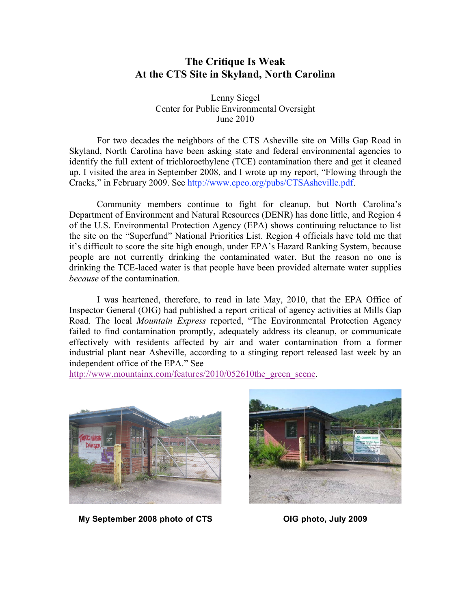## **The Critique Is Weak At the CTS Site in Skyland, North Carolina**

Lenny Siegel Center for Public Environmental Oversight June 2010

For two decades the neighbors of the CTS Asheville site on Mills Gap Road in Skyland, North Carolina have been asking state and federal environmental agencies to identify the full extent of trichloroethylene (TCE) contamination there and get it cleaned up. I visited the area in September 2008, and I wrote up my report, "Flowing through the Cracks," in February 2009. See http://www.cpeo.org/pubs/CTSAsheville.pdf.

Community members continue to fight for cleanup, but North Carolina's Department of Environment and Natural Resources (DENR) has done little, and Region 4 of the U.S. Environmental Protection Agency (EPA) shows continuing reluctance to list the site on the "Superfund" National Priorities List. Region 4 officials have told me that it's difficult to score the site high enough, under EPA's Hazard Ranking System, because people are not currently drinking the contaminated water. But the reason no one is drinking the TCE-laced water is that people have been provided alternate water supplies *because* of the contamination.

I was heartened, therefore, to read in late May, 2010, that the EPA Office of Inspector General (OIG) had published a report critical of agency activities at Mills Gap Road. The local *Mountain Express* reported, "The Environmental Protection Agency failed to find contamination promptly, adequately address its cleanup, or communicate effectively with residents affected by air and water contamination from a former industrial plant near Asheville, according to a stinging report released last week by an independent office of the EPA." See

http://www.mountainx.com/features/2010/052610the\_green\_scene.



**My September 2008 photo of CTS OIG photo, July 2009**